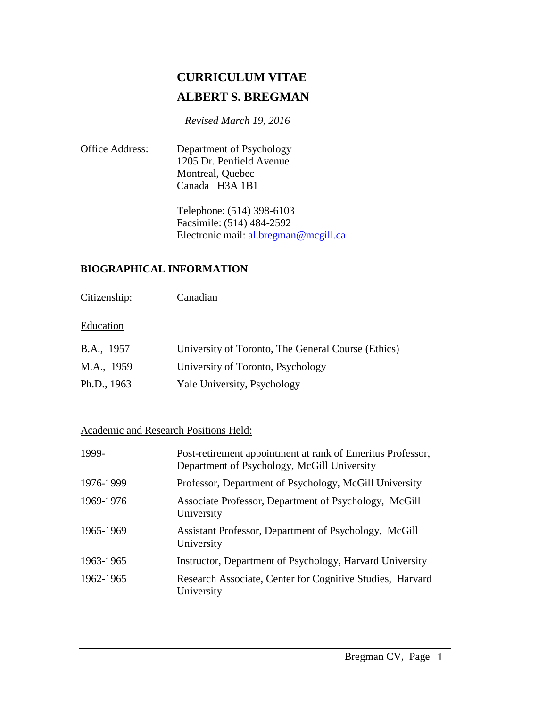# **CURRICULUM VITAE ALBERT S. BREGMAN**

 *Revised March 19, 2016*

Office Address: Department of Psychology 1205 Dr. Penfield Avenue Montreal, Quebec Canada H3A 1B1

> Telephone: (514) 398-6103 Facsimile: (514) 484-2592 Electronic mail: [al.bregman@mcgill.ca](mailto:al.bregman@mcgill.ca)

## **BIOGRAPHICAL INFORMATION**

Citizenship: Canadian

#### **Education**

| B.A., 1957  | University of Toronto, The General Course (Ethics) |
|-------------|----------------------------------------------------|
| M.A., 1959  | University of Toronto, Psychology                  |
| Ph.D., 1963 | Yale University, Psychology                        |

## Academic and Research Positions Held:

| 1999-     | Post-retirement appointment at rank of Emeritus Professor,<br>Department of Psychology, McGill University |
|-----------|-----------------------------------------------------------------------------------------------------------|
| 1976-1999 | Professor, Department of Psychology, McGill University                                                    |
| 1969-1976 | Associate Professor, Department of Psychology, McGill<br>University                                       |
| 1965-1969 | Assistant Professor, Department of Psychology, McGill<br>University                                       |
| 1963-1965 | Instructor, Department of Psychology, Harvard University                                                  |
| 1962-1965 | Research Associate, Center for Cognitive Studies, Harvard<br>University                                   |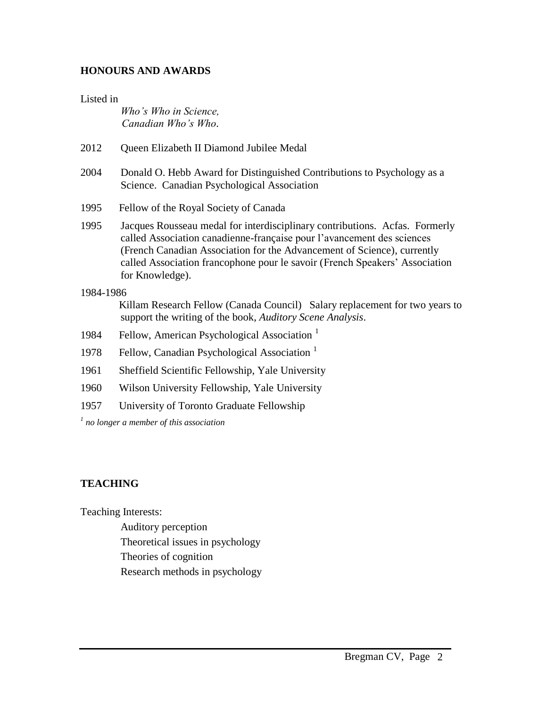#### **HONOURS AND AWARDS**

#### Listed in

*Who's Who in Science, Canadian Who's Who*.

- 2012 Oueen Elizabeth II Diamond Jubilee Medal
- 2004 Donald O. Hebb Award for Distinguished Contributions to Psychology as a Science. Canadian Psychological Association
- 1995 Fellow of the Royal Society of Canada
- 1995 Jacques Rousseau medal for interdisciplinary contributions. Acfas. Formerly called Association canadienne-française pour l'avancement des sciences (French Canadian Association for the Advancement of Science), currently called Association francophone pour le savoir (French Speakers' Association for Knowledge).

#### 1984-1986

Killam Research Fellow (Canada Council) Salary replacement for two years to support the writing of the book, *Auditory Scene Analysis*.

- 1984 Fellow, American Psychological Association<sup>1</sup>
- 1978 Fellow, Canadian Psychological Association<sup>1</sup>
- 1961 Sheffield Scientific Fellowship, Yale University
- 1960 Wilson University Fellowship, Yale University
- 1957 University of Toronto Graduate Fellowship

*1 no longer a member of this association*

## **TEACHING**

Teaching Interests:

Auditory perception

Theoretical issues in psychology

Theories of cognition

Research methods in psychology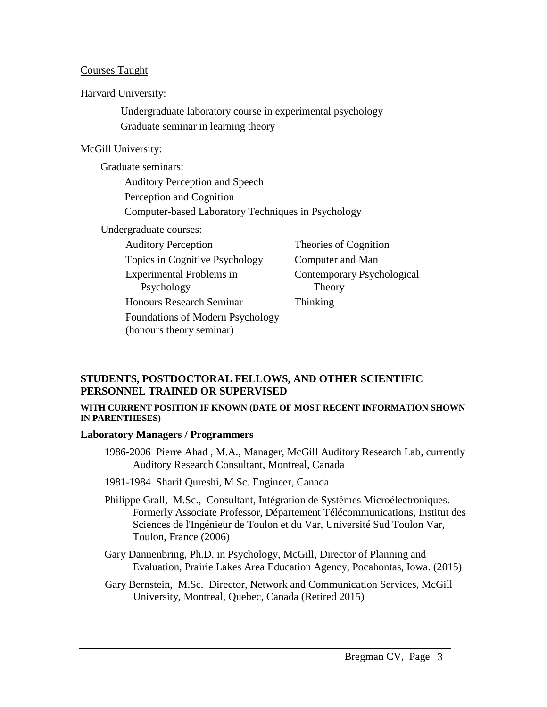#### Courses Taught

Harvard University:

Undergraduate laboratory course in experimental psychology Graduate seminar in learning theory

#### McGill University:

Graduate seminars: Auditory Perception and Speech Perception and Cognition Computer-based Laboratory Techniques in Psychology Undergraduate courses: Auditory Perception Theories of Cognition Topics in Cognitive Psychology Computer and Man Experimental Problems in Psychology Theory Honours Research Seminar Thinking

Foundations of Modern Psychology (honours theory seminar)

Contemporary Psychological

## **STUDENTS, POSTDOCTORAL FELLOWS, AND OTHER SCIENTIFIC PERSONNEL TRAINED OR SUPERVISED**

#### **WITH CURRENT POSITION IF KNOWN (DATE OF MOST RECENT INFORMATION SHOWN IN PARENTHESES)**

#### **Laboratory Managers / Programmers**

- 1986-2006 Pierre Ahad , M.A., Manager, McGill Auditory Research Lab, currently Auditory Research Consultant, Montreal, Canada
- 1981-1984 Sharif Qureshi, M.Sc. Engineer, Canada
- Philippe Grall, M.Sc., Consultant, Intégration de Systèmes Microélectroniques. Formerly Associate Professor, Département Télécommunications, Institut des Sciences de l'Ingénieur de Toulon et du Var, Université Sud Toulon Var, Toulon, France (2006)
- Gary Dannenbring, Ph.D. in Psychology, McGill, Director of Planning and Evaluation, Prairie Lakes Area Education Agency, Pocahontas, Iowa. (2015)
- Gary Bernstein, M.Sc. Director, Network and Communication Services, McGill University, Montreal, Quebec, Canada (Retired 2015)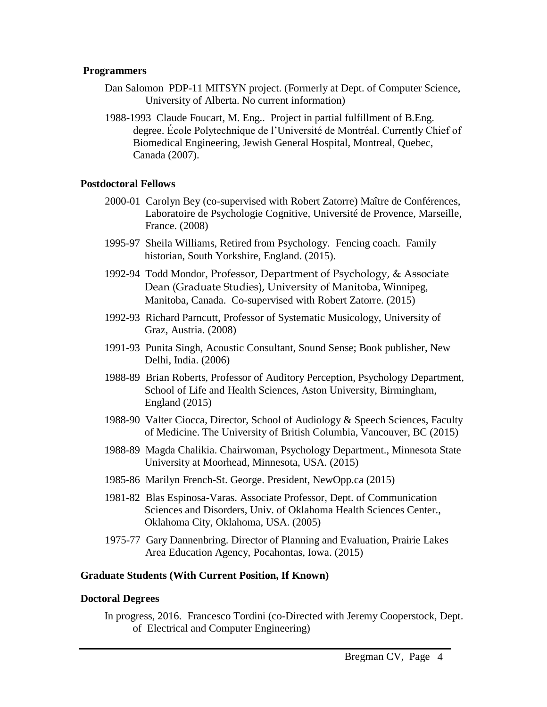#### **Programmers**

- Dan Salomon PDP-11 MITSYN project. (Formerly at Dept. of Computer Science, University of Alberta. No current information)
- 1988-1993 Claude Foucart, M. Eng.. Project in partial fulfillment of B.Eng. degree. École Polytechnique de l'Université de Montréal. Currently Chief of Biomedical Engineering, Jewish General Hospital, Montreal, Quebec, Canada (2007).

#### **Postdoctoral Fellows**

- 2000-01 Carolyn Bey (co-supervised with Robert Zatorre) Maître de Conférences, Laboratoire de Psychologie Cognitive, Université de Provence, Marseille, France. (2008)
- 1995-97 Sheila Williams, Retired from Psychology. Fencing coach. Family historian, South Yorkshire, England. (2015).
- 1992-94 Todd Mondor, Professor, Department of Psychology, & Associate Dean (Graduate Studies), University of Manitoba, Winnipeg, Manitoba, Canada. Co-supervised with Robert Zatorre. (2015)
- 1992-93 Richard Parncutt, Professor of Systematic Musicology, University of Graz, Austria. (2008)
- 1991-93 Punita Singh, Acoustic Consultant, Sound Sense; Book publisher, New Delhi, India. (2006)
- 1988-89 Brian Roberts, Professor of Auditory Perception, Psychology Department, School of Life and Health Sciences, Aston University, Birmingham, England (2015)
- 1988-90 Valter Ciocca, Director, School of Audiology & Speech Sciences, Faculty of Medicine. The University of British Columbia, Vancouver, BC (2015)
- 1988-89 Magda Chalikia. Chairwoman, Psychology Department., Minnesota State University at Moorhead, Minnesota, USA. (2015)
- 1985-86 Marilyn French-St. George. President, NewOpp.ca (2015)
- 1981-82 Blas Espinosa-Varas. Associate Professor, Dept. of Communication Sciences and Disorders, Univ. of Oklahoma Health Sciences Center., Oklahoma City, Oklahoma, USA. (2005)
- 1975-77 Gary Dannenbring. Director of Planning and Evaluation, Prairie Lakes Area Education Agency, Pocahontas, Iowa. (2015)

#### **Graduate Students (With Current Position, If Known)**

#### **Doctoral Degrees**

In progress, 2016. Francesco Tordini (co-Directed with Jeremy Cooperstock, Dept. of Electrical and Computer Engineering)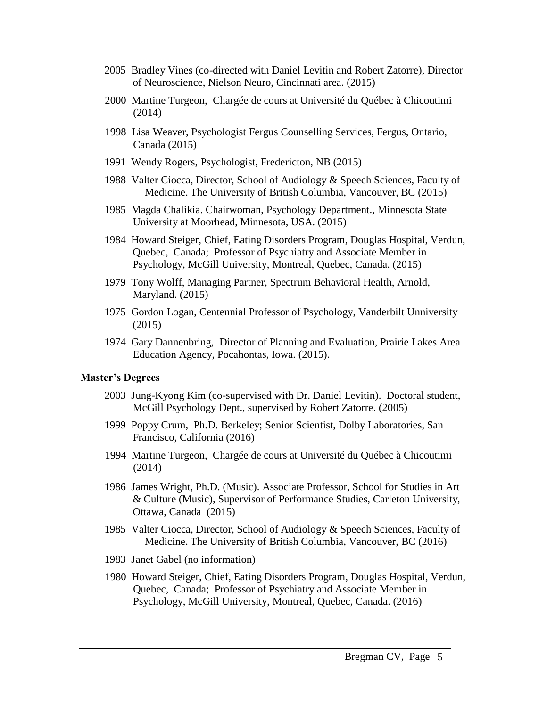- 2005 Bradley Vines (co-directed with Daniel Levitin and Robert Zatorre), Director of Neuroscience, Nielson Neuro, Cincinnati area. (2015)
- 2000 Martine Turgeon, Chargée de cours at Université du Québec à Chicoutimi (2014)
- 1998 Lisa Weaver, Psychologist Fergus Counselling Services, Fergus, Ontario, Canada (2015)
- 1991 Wendy Rogers, Psychologist, Fredericton, NB (2015)
- 1988 Valter Ciocca, Director, School of Audiology & Speech Sciences, Faculty of Medicine. The University of British Columbia, Vancouver, BC (2015)
- 1985 Magda Chalikia. Chairwoman, Psychology Department., Minnesota State University at Moorhead, Minnesota, USA. (2015)
- 1984 Howard Steiger, Chief, Eating Disorders Program, Douglas Hospital, Verdun, Quebec, Canada; Professor of Psychiatry and Associate Member in Psychology, McGill University, Montreal, Quebec, Canada. (2015)
- 1979 Tony Wolff, Managing Partner, Spectrum Behavioral Health, Arnold, Maryland. (2015)
- 1975 Gordon Logan, Centennial Professor of Psychology, Vanderbilt Unniversity (2015)
- 1974 Gary Dannenbring, Director of Planning and Evaluation, Prairie Lakes Area Education Agency, Pocahontas, Iowa. (2015).

#### **Master's Degrees**

- 2003 Jung-Kyong Kim (co-supervised with Dr. Daniel Levitin). Doctoral student, McGill Psychology Dept., supervised by Robert Zatorre. (2005)
- 1999 Poppy Crum, Ph.D. Berkeley; Senior Scientist, Dolby Laboratories, San Francisco, California (2016)
- 1994 Martine Turgeon, Chargée de cours at Université du Québec à Chicoutimi (2014)
- 1986 James Wright, Ph.D. (Music). Associate Professor, School for Studies in Art & Culture (Music), Supervisor of Performance Studies, Carleton University, Ottawa, Canada (2015)
- 1985 Valter Ciocca, Director, School of Audiology & Speech Sciences, Faculty of Medicine. The University of British Columbia, Vancouver, BC (2016)
- 1983 Janet Gabel (no information)
- 1980 Howard Steiger, Chief, Eating Disorders Program, Douglas Hospital, Verdun, Quebec, Canada; Professor of Psychiatry and Associate Member in Psychology, McGill University, Montreal, Quebec, Canada. (2016)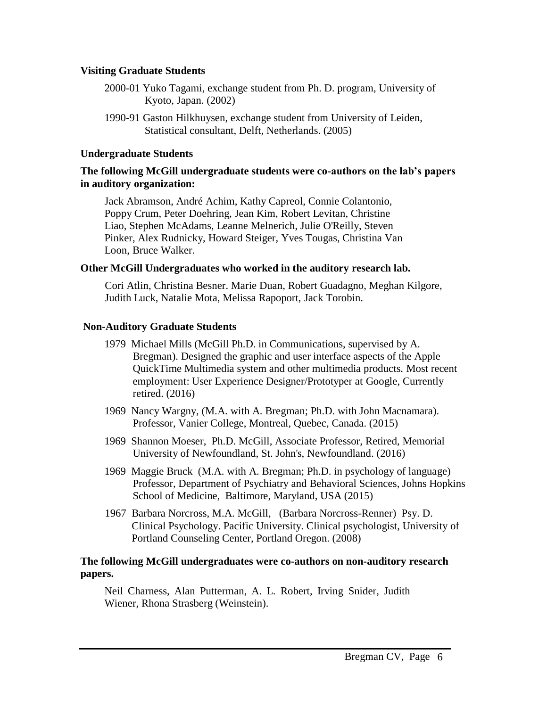#### **Visiting Graduate Students**

- 2000-01 Yuko Tagami, exchange student from Ph. D. program, University of Kyoto, Japan. (2002)
- 1990-91 Gaston Hilkhuysen, exchange student from University of Leiden, Statistical consultant, Delft, Netherlands. (2005)

#### **Undergraduate Students**

#### **The following McGill undergraduate students were co-authors on the lab's papers in auditory organization:**

Jack Abramson, André Achim, Kathy Capreol, Connie Colantonio, Poppy Crum, Peter Doehring, Jean Kim, Robert Levitan, Christine Liao, Stephen McAdams, Leanne Melnerich, Julie O'Reilly, Steven Pinker, Alex Rudnicky, Howard Steiger, Yves Tougas, Christina Van Loon, Bruce Walker.

#### **Other McGill Undergraduates who worked in the auditory research lab.**

Cori Atlin, Christina Besner. Marie Duan, Robert Guadagno, Meghan Kilgore, Judith Luck, Natalie Mota, Melissa Rapoport, Jack Torobin.

## **Non-Auditory Graduate Students**

- 1979 Michael Mills (McGill Ph.D. in Communications, supervised by A. Bregman). Designed the graphic and user interface aspects of the Apple QuickTime Multimedia system and other multimedia products. Most recent employment: User Experience Designer/Prototyper at Google, Currently retired. (2016)
- 1969 Nancy Wargny, (M.A. with A. Bregman; Ph.D. with John Macnamara). Professor, Vanier College, Montreal, Quebec, Canada. (2015)
- 1969 Shannon Moeser, Ph.D. McGill, Associate Professor, Retired, Memorial University of Newfoundland, St. John's, Newfoundland. (2016)
- 1969 Maggie Bruck (M.A. with A. Bregman; Ph.D. in psychology of language) Professor, Department of Psychiatry and Behavioral Sciences, Johns Hopkins School of Medicine, Baltimore, Maryland, USA (2015)
- 1967 Barbara Norcross, M.A. McGill, (Barbara Norcross-Renner) Psy. D. Clinical Psychology. Pacific University. Clinical psychologist, University of Portland Counseling Center, Portland Oregon. (2008)

#### **The following McGill undergraduates were co-authors on non-auditory research papers.**

Neil Charness, Alan Putterman, A. L. Robert, Irving Snider, Judith Wiener, Rhona Strasberg (Weinstein).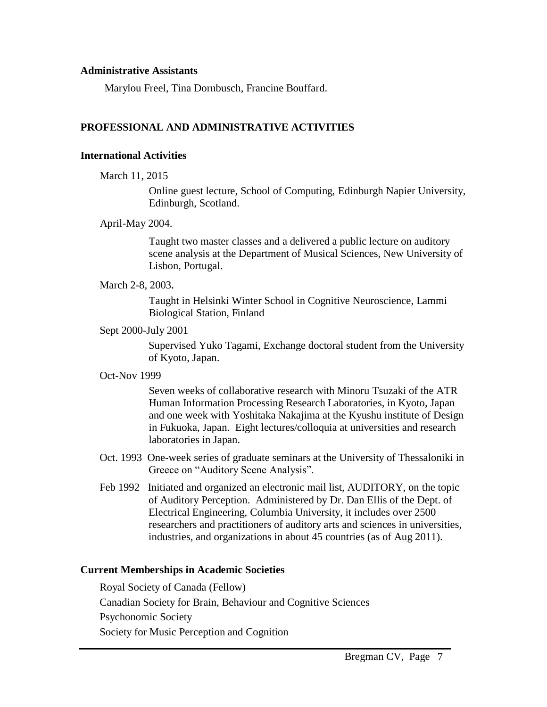#### **Administrative Assistants**

Marylou Freel, Tina Dornbusch, Francine Bouffard.

#### **PROFESSIONAL AND ADMINISTRATIVE ACTIVITIES**

#### **International Activities**

March 11, 2015

Online guest lecture, School of Computing, Edinburgh Napier University, Edinburgh, Scotland.

April-May 2004.

Taught two master classes and a delivered a public lecture on auditory scene analysis at the Department of Musical Sciences, New University of Lisbon, Portugal.

March 2-8, 2003*.* 

Taught in Helsinki Winter School in Cognitive Neuroscience, Lammi Biological Station, Finland

Sept 2000-July 2001

Supervised Yuko Tagami, Exchange doctoral student from the University of Kyoto, Japan.

Oct-Nov 1999

Seven weeks of collaborative research with Minoru Tsuzaki of the ATR Human Information Processing Research Laboratories, in Kyoto, Japan and one week with Yoshitaka Nakajima at the Kyushu institute of Design in Fukuoka, Japan. Eight lectures/colloquia at universities and research laboratories in Japan.

- Oct. 1993 One-week series of graduate seminars at the University of Thessaloniki in Greece on "Auditory Scene Analysis".
- Feb 1992 Initiated and organized an electronic mail list, AUDITORY, on the topic of Auditory Perception. Administered by Dr. Dan Ellis of the Dept. of Electrical Engineering, Columbia University, it includes over 2500 researchers and practitioners of auditory arts and sciences in universities, industries, and organizations in about 45 countries (as of Aug 2011).

#### **Current Memberships in Academic Societies**

Royal Society of Canada (Fellow) Canadian Society for Brain, Behaviour and Cognitive Sciences Psychonomic Society Society for Music Perception and Cognition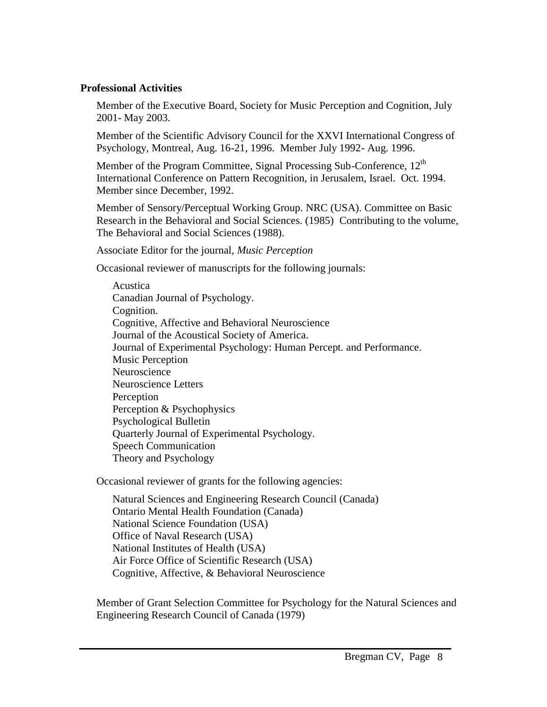#### **Professional Activities**

Member of the Executive Board, Society for Music Perception and Cognition, July 2001- May 2003.

Member of the Scientific Advisory Council for the XXVI International Congress of Psychology, Montreal, Aug. 16-21, 1996. Member July 1992- Aug. 1996.

Member of the Program Committee, Signal Processing Sub-Conference, 12<sup>th</sup> International Conference on Pattern Recognition, in Jerusalem, Israel. Oct. 1994. Member since December, 1992.

Member of Sensory/Perceptual Working Group. NRC (USA). Committee on Basic Research in the Behavioral and Social Sciences. (1985) Contributing to the volume, The Behavioral and Social Sciences (1988).

Associate Editor for the journal, *Music Perception*

Occasional reviewer of manuscripts for the following journals:

Acustica Canadian Journal of Psychology. Cognition. Cognitive, Affective and Behavioral Neuroscience Journal of the Acoustical Society of America. Journal of Experimental Psychology: Human Percept. and Performance. Music Perception Neuroscience Neuroscience Letters Perception Perception & Psychophysics Psychological Bulletin Quarterly Journal of Experimental Psychology. Speech Communication Theory and Psychology

Occasional reviewer of grants for the following agencies:

Natural Sciences and Engineering Research Council (Canada) Ontario Mental Health Foundation (Canada) National Science Foundation (USA) Office of Naval Research (USA) National Institutes of Health (USA) Air Force Office of Scientific Research (USA) Cognitive, Affective, & Behavioral Neuroscience

Member of Grant Selection Committee for Psychology for the Natural Sciences and Engineering Research Council of Canada (1979)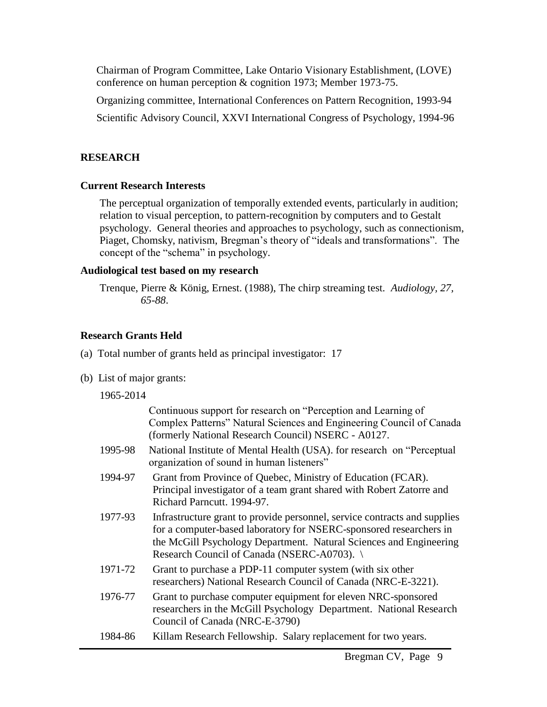Chairman of Program Committee, Lake Ontario Visionary Establishment, (LOVE) conference on human perception & cognition 1973; Member 1973-75.

Organizing committee, International Conferences on Pattern Recognition, 1993-94

Scientific Advisory Council, XXVI International Congress of Psychology, 1994-96

## **RESEARCH**

## **Current Research Interests**

The perceptual organization of temporally extended events, particularly in audition; relation to visual perception, to pattern-recognition by computers and to Gestalt psychology. General theories and approaches to psychology, such as connectionism, Piaget, Chomsky, nativism, Bregman's theory of "ideals and transformations". The concept of the "schema" in psychology.

## **Audiological test based on my research**

Trenque, Pierre & König, Ernest. (1988), The chirp streaming test. *Audiology, 27, 65-88*.

## **Research Grants Held**

- (a) Total number of grants held as principal investigator: 17
- (b) List of major grants:

1965-2014

|         | Continuous support for research on "Perception and Learning of<br>Complex Patterns" Natural Sciences and Engineering Council of Canada<br>(formerly National Research Council) NSERC - A0127.                                                                      |
|---------|--------------------------------------------------------------------------------------------------------------------------------------------------------------------------------------------------------------------------------------------------------------------|
| 1995-98 | National Institute of Mental Health (USA). for research on "Perceptual<br>organization of sound in human listeners"                                                                                                                                                |
| 1994-97 | Grant from Province of Quebec, Ministry of Education (FCAR).<br>Principal investigator of a team grant shared with Robert Zatorre and<br>Richard Parncutt. 1994-97.                                                                                                |
| 1977-93 | Infrastructure grant to provide personnel, service contracts and supplies<br>for a computer-based laboratory for NSERC-sponsored researchers in<br>the McGill Psychology Department. Natural Sciences and Engineering<br>Research Council of Canada (NSERC-A0703). |
| 1971-72 | Grant to purchase a PDP-11 computer system (with six other<br>researchers) National Research Council of Canada (NRC-E-3221).                                                                                                                                       |
| 1976-77 | Grant to purchase computer equipment for eleven NRC-sponsored<br>researchers in the McGill Psychology Department. National Research<br>Council of Canada (NRC-E-3790)                                                                                              |
| 1984-86 | Killam Research Fellowship. Salary replacement for two years.                                                                                                                                                                                                      |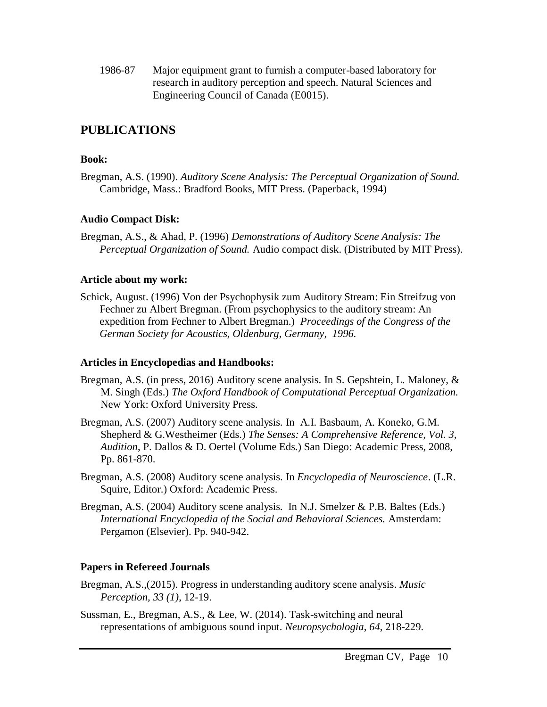1986-87 Major equipment grant to furnish a computer-based laboratory for research in auditory perception and speech. Natural Sciences and Engineering Council of Canada (E0015).

## **PUBLICATIONS**

#### **Book:**

Bregman, A.S. (1990). *Auditory Scene Analysis: The Perceptual Organization of Sound.*  Cambridge, Mass.: Bradford Books, MIT Press. (Paperback, 1994)

#### **Audio Compact Disk:**

Bregman, A.S., & Ahad, P. (1996) *Demonstrations of Auditory Scene Analysis: The Perceptual Organization of Sound.* Audio compact disk. (Distributed by MIT Press).

#### **Article about my work:**

Schick, August. (1996) Von der Psychophysik zum Auditory Stream: Ein Streifzug von Fechner zu Albert Bregman. (From psychophysics to the auditory stream: An expedition from Fechner to Albert Bregman.) *Proceedings of the Congress of the German Society for Acoustics, Oldenburg, Germany, 1996.*

#### **Articles in Encyclopedias and Handbooks:**

- Bregman, A.S. (in press, 2016) Auditory scene analysis. In S. Gepshtein, L. Maloney, & M. Singh (Eds.) *The Oxford Handbook of Computational Perceptual Organization.* New York: Oxford University Press.
- Bregman, A.S. (2007) Auditory scene analysis. In A.I. Basbaum, A. Koneko, G.M. Shepherd & G.Westheimer (Eds.) *The Senses: A Comprehensive Reference, Vol. 3, Audition*, P. Dallos & D. Oertel (Volume Eds.) San Diego: Academic Press, 2008, Pp. 861-870.
- Bregman, A.S. (2008) Auditory scene analysis. In *Encyclopedia of Neuroscience*. (L.R. Squire, Editor.) Oxford: Academic Press.
- Bregman, A.S. (2004) Auditory scene analysis. In N.J. Smelzer & P.B. Baltes (Eds.) *International Encyclopedia of the Social and Behavioral Sciences.* Amsterdam: Pergamon (Elsevier). Pp. 940-942.

## **Papers in Refereed Journals**

- Bregman, A.S.,(2015). Progress in understanding auditory scene analysis. *Music Perception, 33 (1)*, 12-19.
- Sussman, E., Bregman, A.S., & Lee, W. (2014). Task-switching and neural representations of ambiguous sound input. *Neuropsychologia*, *64*, 218-229.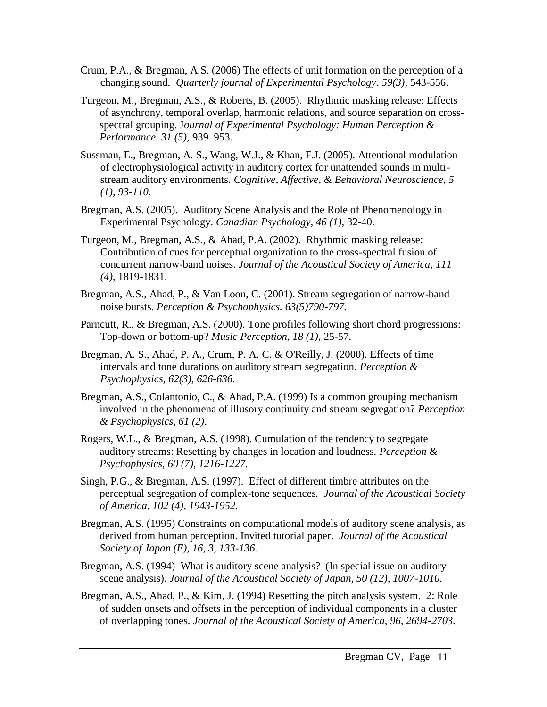- Crum, P.A., & Bregman, A.S. (2006) The effects of unit formation on the perception of a changing sound. *Quarterly journal of Experimental Psychology*. *59(3),* 543-556.
- Turgeon, M., Bregman, A.S., & Roberts, B. (2005). Rhythmic masking release: Effects of asynchrony, temporal overlap, harmonic relations, and source separation on crossspectral grouping. J*ournal of Experimental Psychology: Human Perception & Performance. 31 (5),* 939–953.
- Sussman, E., Bregman, A. S., Wang, W.J., & Khan, F.J. (2005). Attentional modulation of electrophysiological activity in auditory cortex for unattended sounds in multistream auditory environments. *Cognitive, Affective, & Behavioral Neuroscience, 5 (1), 93-110.*
- Bregman, A.S. (2005). Auditory Scene Analysis and the Role of Phenomenology in Experimental Psychology. *Canadian Psychology, 46 (1),* 32-40.
- Turgeon, M., Bregman, A.S., & Ahad, P.A. (2002). Rhythmic masking release: Contribution of cues for perceptual organization to the cross-spectral fusion of concurrent narrow-band noises. *Journal of the Acoustical Society of America*, *111 (4)*, 1819-1831.
- Bregman, A.S., Ahad, P., & Van Loon, C. (2001). Stream segregation of narrow-band noise bursts. *Perception & Psychophysics. 63(5)790-797.*
- Parncutt, R., & Bregman, A.S. (2000). Tone profiles following short chord progressions: Top-down or bottom-up? *Music Perception, 18 (1),* 25-57.
- Bregman, A. S., Ahad, P. A., Crum, P. A. C. & O'Reilly, J. (2000). Effects of time intervals and tone durations on auditory stream segregation*. Perception & Psychophysics, 62(3), 626-636.*
- Bregman, A.S., Colantonio, C., & Ahad, P.A. (1999) Is a common grouping mechanism involved in the phenomena of illusory continuity and stream segregation? *Perception & Psychophysics, 61 (2)*.
- Rogers, W.L., & Bregman, A.S. (1998). Cumulation of the tendency to segregate auditory streams: Resetting by changes in location and loudness. *Perception & Psychophysics, 60 (7), 1216-1227.*
- Singh, P.G., & Bregman, A.S. (1997). Effect of different timbre attributes on the perceptual segregation of complex-tone sequences*. Journal of the Acoustical Society of America, 102 (4), 1943-1952.*
- Bregman, A.S. (1995) Constraints on computational models of auditory scene analysis, as derived from human perception. Invited tutorial paper*. Journal of the Acoustical Society of Japan (E), 16, 3, 133-136.*
- Bregman, A.S. (1994) What is auditory scene analysis? (In special issue on auditory scene analysis). *Journal of the Acoustical Society of Japan, 50 (12), 1007-1010*.
- Bregman, A.S., Ahad, P., & Kim, J. (1994) Resetting the pitch analysis system. 2: Role of sudden onsets and offsets in the perception of individual components in a cluster of overlapping tones. *Journal of the Acoustical Society of America, 96, 2694-2703.*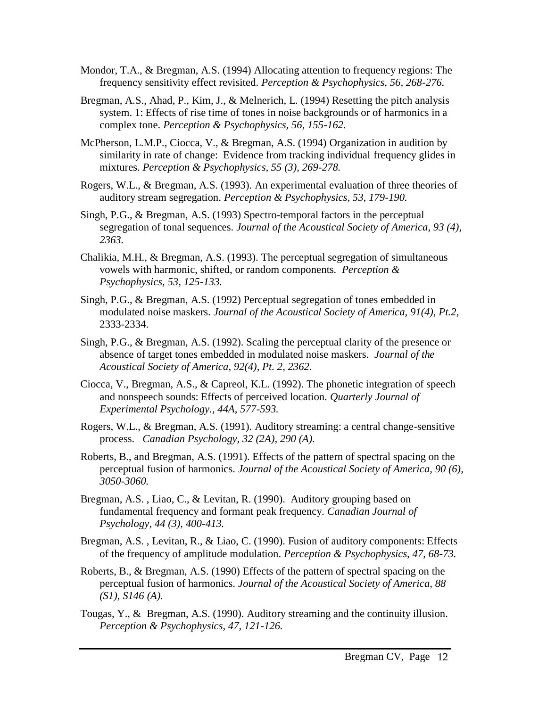- Mondor, T.A., & Bregman, A.S. (1994) Allocating attention to frequency regions: The frequency sensitivity effect revisited. *Perception & Psychophysics, 56, 268-276.*
- Bregman, A.S., Ahad, P., Kim, J., & Melnerich, L. (1994) Resetting the pitch analysis system. 1: Effects of rise time of tones in noise backgrounds or of harmonics in a complex tone. *Perception & Psychophysics, 56, 155-162.*
- McPherson, L.M.P., Ciocca, V., & Bregman, A.S. (1994) Organization in audition by similarity in rate of change: Evidence from tracking individual frequency glides in mixtures. *Perception & Psychophysics, 55 (3), 269-278.*
- Rogers, W.L., & Bregman, A.S. (1993). An experimental evaluation of three theories of auditory stream segregation. *Perception & Psychophysics, 53, 179-190.*
- Singh, P.G., & Bregman, A.S. (1993) Spectro-temporal factors in the perceptual segregation of tonal sequences. *Journal of the Acoustical Society of America, 93 (4), 2363.*
- Chalikia, M.H., & Bregman, A.S. (1993). The perceptual segregation of simultaneous vowels with harmonic, shifted, or random components*. Perception & Psychophysics, 53, 125-133.*
- Singh, P.G., & Bregman, A.S. (1992) Perceptual segregation of tones embedded in modulated noise maskers. *Journal of the Acoustical Society of America, 91(4), Pt.2,*  2333-2334.
- Singh, P.G., & Bregman, A.S. (1992). Scaling the perceptual clarity of the presence or absence of target tones embedded in modulated noise maskers. *Journal of the Acoustical Society of America, 92(4), Pt. 2, 2362.*
- Ciocca, V., Bregman, A.S., & Capreol, K.L. (1992). The phonetic integration of speech and nonspeech sounds: Effects of perceived location. *Quarterly Journal of Experimental Psychology., 44A, 577-593.*
- Rogers, W.L., & Bregman, A.S. (1991). Auditory streaming: a central change-sensitive process. *Canadian Psychology, 32 (2A), 290 (A).*
- Roberts, B., and Bregman, A.S. (1991). Effects of the pattern of spectral spacing on the perceptual fusion of harmonics. *Journal of the Acoustical Society of America, 90 (6), 3050-3060.*
- Bregman, A.S. , Liao, C., & Levitan, R. (1990). Auditory grouping based on fundamental frequency and formant peak frequency. *Canadian Journal of Psychology, 44 (3), 400-413.*
- Bregman, A.S. , Levitan, R., & Liao, C. (1990). Fusion of auditory components: Effects of the frequency of amplitude modulation. *Perception & Psychophysics, 47, 68-73.*
- Roberts, B., & Bregman, A.S. (1990) Effects of the pattern of spectral spacing on the perceptual fusion of harmonics. *Journal of the Acoustical Society of America, 88 (S1), S146 (A).*
- Tougas, Y., & Bregman, A.S. (1990). Auditory streaming and the continuity illusion. *Perception & Psychophysics, 47, 121-126.*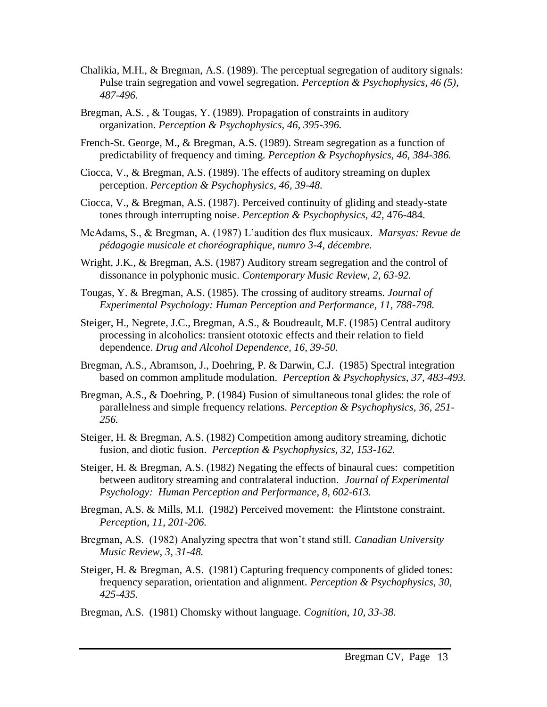- Chalikia, M.H., & Bregman, A.S. (1989). The perceptual segregation of auditory signals: Pulse train segregation and vowel segregation. *Perception & Psychophysics, 46 (5), 487-496.*
- Bregman, A.S. , & Tougas, Y. (1989). Propagation of constraints in auditory organization. *Perception & Psychophysics, 46, 395-396.*
- French-St. George, M., & Bregman, A.S. (1989). Stream segregation as a function of predictability of frequency and timing. *Perception & Psychophysics, 46, 384-386.*
- Ciocca, V., & Bregman, A.S. (1989). The effects of auditory streaming on duplex perception. *Perception & Psychophysics, 46, 39-48.*
- Ciocca, V., & Bregman, A.S. (1987). Perceived continuity of gliding and steady-state tones through interrupting noise. *Perception & Psychophysics, 42,* 476-484.
- McAdams, S., & Bregman, A. (1987) L'audition des flux musicaux. *Marsyas: Revue de pédagogie musicale et choréographique, numro 3-4, décembre.*
- Wright, J.K., & Bregman, A.S. (1987) Auditory stream segregation and the control of dissonance in polyphonic music. *Contemporary Music Review, 2, 63-92.*
- Tougas, Y. & Bregman, A.S. (1985). The crossing of auditory streams. *Journal of Experimental Psychology: Human Perception and Performance, 11, 788-798.*
- Steiger, H., Negrete, J.C., Bregman, A.S., & Boudreault, M.F. (1985) Central auditory processing in alcoholics: transient ototoxic effects and their relation to field dependence. *Drug and Alcohol Dependence, 16, 39-50.*
- Bregman, A.S., Abramson, J., Doehring, P. & Darwin, C.J. (1985) Spectral integration based on common amplitude modulation. *Perception & Psychophysics, 37, 483-493.*
- Bregman, A.S., & Doehring, P. (1984) Fusion of simultaneous tonal glides: the role of parallelness and simple frequency relations. *Perception & Psychophysics, 36, 251- 256.*
- Steiger, H. & Bregman, A.S. (1982) Competition among auditory streaming, dichotic fusion, and diotic fusion. *Perception & Psychophysics, 32, 153-162.*
- Steiger, H. & Bregman, A.S. (1982) Negating the effects of binaural cues: competition between auditory streaming and contralateral induction. *Journal of Experimental Psychology: Human Perception and Performance, 8, 602-613.*
- Bregman, A.S. & Mills, M.I. (1982) Perceived movement: the Flintstone constraint. *Perception, 11, 201-206.*
- Bregman, A.S. (1982) Analyzing spectra that won't stand still. *Canadian University Music Review, 3, 31-48.*
- Steiger, H. & Bregman, A.S. (1981) Capturing frequency components of glided tones: frequency separation, orientation and alignment. *Perception & Psychophysics, 30, 425-435.*
- Bregman, A.S. (1981) Chomsky without language. *Cognition, 10, 33-38.*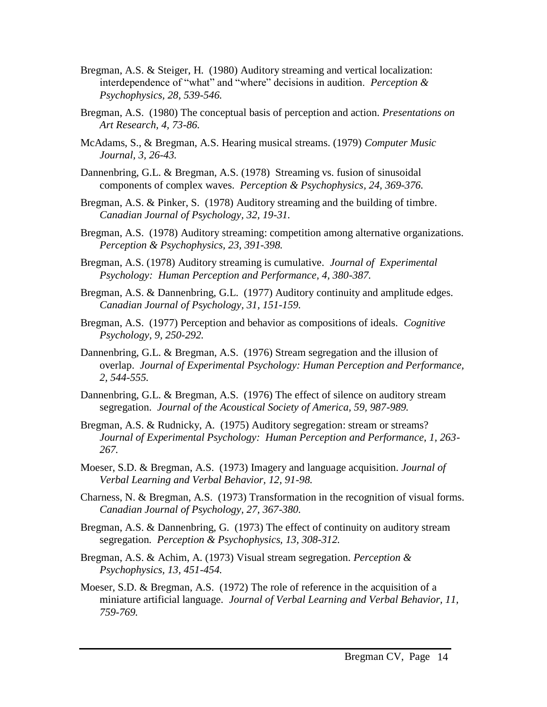- Bregman, A.S. & Steiger, H. (1980) Auditory streaming and vertical localization: interdependence of "what" and "where" decisions in audition. *Perception & Psychophysics, 28, 539-546.*
- Bregman, A.S. (1980) The conceptual basis of perception and action. *Presentations on Art Research, 4, 73-86.*
- McAdams, S., & Bregman, A.S. Hearing musical streams. (1979) *Computer Music Journal, 3, 26-43.*
- Dannenbring, G.L. & Bregman, A.S. (1978) Streaming vs. fusion of sinusoidal components of complex waves. *Perception & Psychophysics, 24, 369-376.*
- Bregman, A.S. & Pinker, S. (1978) Auditory streaming and the building of timbre. *Canadian Journal of Psychology, 32, 19-31.*
- Bregman, A.S. (1978) Auditory streaming: competition among alternative organizations. *Perception & Psychophysics, 23, 391-398.*
- Bregman, A.S. (1978) Auditory streaming is cumulative. *Journal of Experimental Psychology: Human Perception and Performance, 4, 380-387.*
- Bregman, A.S. & Dannenbring, G.L. (1977) Auditory continuity and amplitude edges. *Canadian Journal of Psychology, 31, 151-159.*
- Bregman, A.S. (1977) Perception and behavior as compositions of ideals. *Cognitive Psychology, 9, 250-292.*
- Dannenbring, G.L. & Bregman, A.S. (1976) Stream segregation and the illusion of overlap. *Journal of Experimental Psychology: Human Perception and Performance, 2, 544-555.*
- Dannenbring, G.L. & Bregman, A.S. (1976) The effect of silence on auditory stream segregation. *Journal of the Acoustical Society of America, 59, 987-989.*
- Bregman, A.S. & Rudnicky, A. (1975) Auditory segregation: stream or streams? *Journal of Experimental Psychology: Human Perception and Performance, 1, 263- 267.*
- Moeser, S.D. & Bregman, A.S. (1973) Imagery and language acquisition. *Journal of Verbal Learning and Verbal Behavior, 12, 91-98.*
- Charness, N. & Bregman, A.S. (1973) Transformation in the recognition of visual forms. *Canadian Journal of Psychology, 27, 367-380.*
- Bregman, A.S. & Dannenbring, G. (1973) The effect of continuity on auditory stream segregation*. Perception & Psychophysics, 13, 308-312.*
- Bregman, A.S. & Achim, A. (1973) Visual stream segregation. *Perception & Psychophysics, 13, 451-454.*
- Moeser, S.D. & Bregman, A.S. (1972) The role of reference in the acquisition of a miniature artificial language. *Journal of Verbal Learning and Verbal Behavior, 11, 759-769.*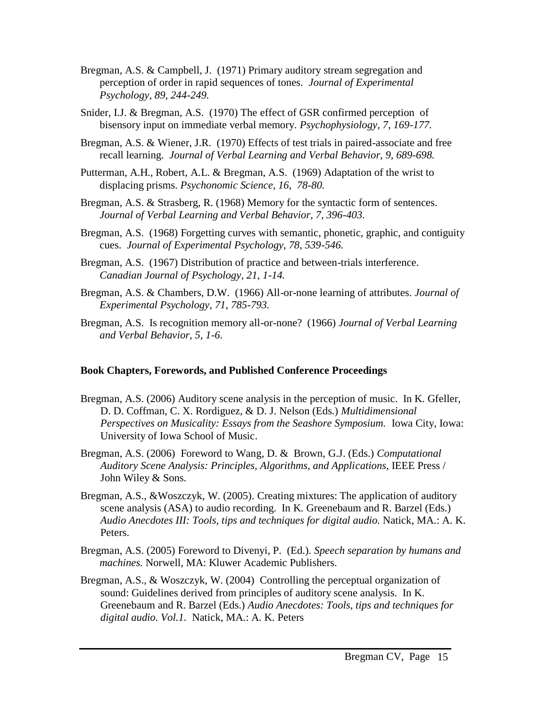- Bregman, A.S. & Campbell, J. (1971) Primary auditory stream segregation and perception of order in rapid sequences of tones. *Journal of Experimental Psychology, 89, 244-249.*
- Snider, I.J. & Bregman, A.S. (1970) The effect of GSR confirmed perception of bisensory input on immediate verbal memory. *Psychophysiology, 7, 169-177.*
- Bregman, A.S. & Wiener, J.R. (1970) Effects of test trials in paired-associate and free recall learning. *Journal of Verbal Learning and Verbal Behavior, 9, 689-698.*
- Putterman, A.H., Robert, A.L. & Bregman, A.S. (1969) Adaptation of the wrist to displacing prisms. *Psychonomic Science, 16, 78-80.*
- Bregman, A.S. & Strasberg, R. (1968) Memory for the syntactic form of sentences. *Journal of Verbal Learning and Verbal Behavior, 7, 396-403.*
- Bregman, A.S. (1968) Forgetting curves with semantic, phonetic, graphic, and contiguity cues. *Journal of Experimental Psychology, 78, 539-546.*
- Bregman, A.S. (1967) Distribution of practice and between-trials interference. *Canadian Journal of Psychology, 21, 1-14.*
- Bregman, A.S. & Chambers, D.W. (1966) All-or-none learning of attributes. *Journal of Experimental Psychology, 71, 785-793.*
- Bregman, A.S. Is recognition memory all-or-none? (1966) *Journal of Verbal Learning and Verbal Behavior, 5, 1-6.*

#### **Book Chapters, Forewords, and Published Conference Proceedings**

- Bregman, A.S. (2006) Auditory scene analysis in the perception of music. In K. Gfeller, D. D. Coffman, C. X. Rordiguez, & D. J. Nelson (Eds.) *Multidimensional Perspectives on Musicality: Essays from the Seashore Symposium.* Iowa City, Iowa: University of Iowa School of Music.
- Bregman, A.S. (2006) Foreword to Wang, D. & Brown, G.J. (Eds.) *Computational Auditory Scene Analysis: Principles, Algorithms, and Applications,* IEEE Press / John Wiley & Sons.
- Bregman, A.S., &Woszczyk, W. (2005). Creating mixtures: The application of auditory scene analysis (ASA) to audio recording. In K. Greenebaum and R. Barzel (Eds.) *Audio Anecdotes III: Tools, tips and techniques for digital audio.* Natick, MA.: A. K. Peters.
- Bregman, A.S. (2005) Foreword to Divenyi, P. (Ed.). *Speech separation by humans and machines.* Norwell, MA: Kluwer Academic Publishers.
- Bregman, A.S., & Woszczyk, W. (2004) Controlling the perceptual organization of sound: Guidelines derived from principles of auditory scene analysis. In K. Greenebaum and R. Barzel (Eds.) *Audio Anecdotes: Tools, tips and techniques for digital audio. Vol.1.* Natick, MA.: A. K. Peters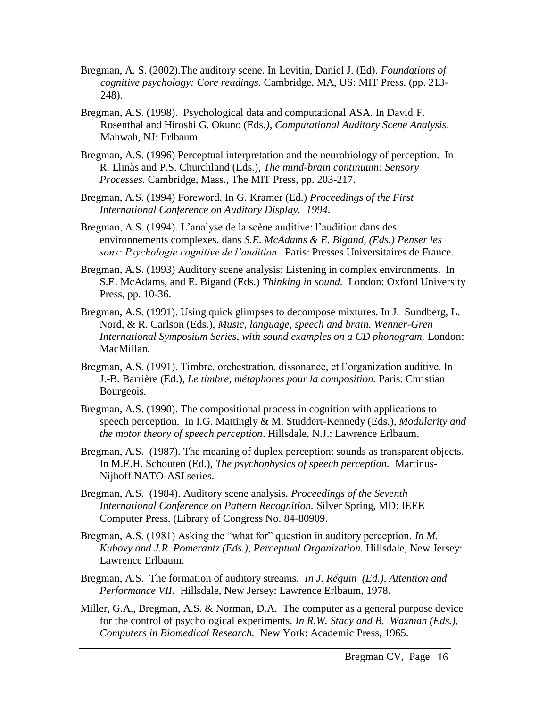- Bregman, A. S. (2002).The auditory scene. In Levitin, Daniel J. (Ed). *Foundations of cognitive psychology: Core readings.* Cambridge, MA, US: MIT Press. (pp. 213- 248).
- Bregman, A.S. (1998). Psychological data and computational ASA. In David F. Rosenthal and Hiroshi G. Okuno (Eds*.), Computational Auditory Scene Analysis*. Mahwah, NJ: Erlbaum.
- Bregman, A.S. (1996) Perceptual interpretation and the neurobiology of perception. In R. Llinàs and P.S. Churchland (Eds.), *The mind-brain continuum: Sensory Processes.* Cambridge, Mass., The MIT Press, pp. 203-217.
- Bregman, A.S. (1994) Foreword. In G. Kramer (Ed.) *Proceedings of the First International Conference on Auditory Display. 1994*.
- Bregman, A.S. (1994). L'analyse de la scène auditive: l'audition dans des environnements complexes. dans *S.E. McAdams & E. Bigand, (Eds.) Penser les sons: Psychologie cognitive de l'audition.* Paris: Presses Universitaires de France*.*
- Bregman, A.S. (1993) Auditory scene analysis: Listening in complex environments. In S.E. McAdams, and E. Bigand (Eds.) *Thinking in sound.* London: Oxford University Press, pp. 10-36.
- Bregman, A.S. (1991). Using quick glimpses to decompose mixtures. In J. Sundberg, L. Nord, & R. Carlson (Eds.), *Music, language, speech and brain. Wenner-Gren International Symposium Series, with sound examples on a CD phonogram. London:* MacMillan.
- Bregman, A.S. (1991). Timbre, orchestration, dissonance, et l'organization auditive. In J.-B. Barrière (Ed.)*, Le timbre, métaphores pour la composition.* Paris: Christian Bourgeois.
- Bregman, A.S. (1990). The compositional process in cognition with applications to speech perception. In I.G. Mattingly & M. Studdert-Kennedy (Eds.)*, Modularity and the motor theory of speech perception*. Hillsdale, N.J.: Lawrence Erlbaum.
- Bregman, A.S. (1987). The meaning of duplex perception: sounds as transparent objects. In M.E.H. Schouten (Ed.), *The psychophysics of speech perception.* Martinus-Nijhoff NATO-ASI series.
- Bregman, A.S. (1984). Auditory scene analysis. *Proceedings of the Seventh International Conference on Pattern Recognition.* Silver Spring, MD: IEEE Computer Press. (Library of Congress No. 84-80909.
- Bregman, A.S. (1981) Asking the "what for" question in auditory perception. *In M. Kubovy and J.R. Pomerantz (Eds.), Perceptual Organization.* Hillsdale, New Jersey: Lawrence Erlbaum.
- Bregman, A.S. The formation of auditory streams. *In J. Réquin (Ed.), Attention and Performance VII*. Hillsdale, New Jersey: Lawrence Erlbaum, 1978.
- Miller, G.A., Bregman, A.S. & Norman, D.A. The computer as a general purpose device for the control of psychological experiments. *In R.W. Stacy and B. Waxman (Eds.), Computers in Biomedical Research.* New York: Academic Press, 1965.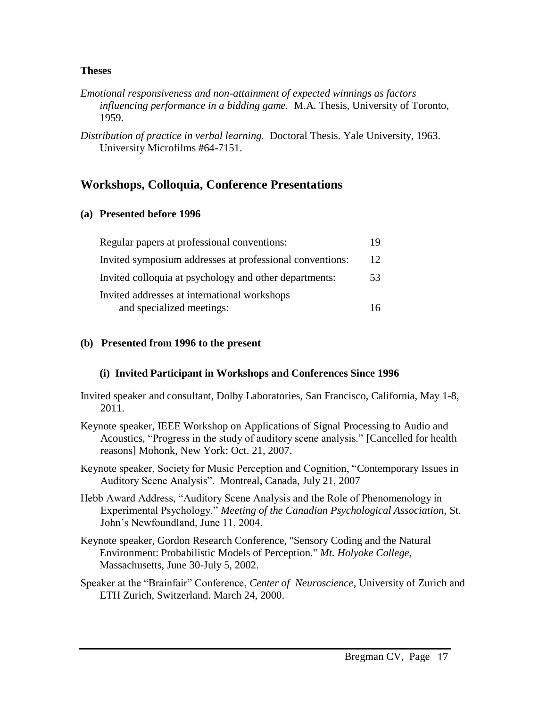#### **Theses**

- *Emotional responsiveness and non-attainment of expected winnings as factors influencing performance in a bidding game.* M.A. Thesis, University of Toronto, 1959.
- *Distribution of practice in verbal learning.* Doctoral Thesis. Yale University, 1963. University Microfilms #64-7151.

## **Workshops, Colloquia, Conference Presentations**

## **(a) Presented before 1996**

| Regular papers at professional conventions:              |    |
|----------------------------------------------------------|----|
| Invited symposium addresses at professional conventions: |    |
| Invited colloquia at psychology and other departments:   | 53 |
| Invited addresses at international workshops             |    |
| and specialized meetings:                                |    |

## **(b) Presented from 1996 to the present**

## **(i) Invited Participant in Workshops and Conferences Since 1996**

- Invited speaker and consultant, Dolby Laboratories, San Francisco, California, May 1-8, 2011.
- Keynote speaker, IEEE Workshop on Applications of Signal Processing to Audio and Acoustics, "Progress in the study of auditory scene analysis." [Cancelled for health reasons] Mohonk, New York: Oct. 21, 2007.
- Keynote speaker, Society for Music Perception and Cognition, "Contemporary Issues in Auditory Scene Analysis". Montreal, Canada, July 21, 2007
- Hebb Award Address, "Auditory Scene Analysis and the Role of Phenomenology in Experimental Psychology." *Meeting of the Canadian Psychological Association,* St. John's Newfoundland, June 11, 2004.
- Keynote speaker, Gordon Research Conference, "Sensory Coding and the Natural Environment: Probabilistic Models of Perception." *Mt. Holyoke College,*  Massachusetts, June 30-July 5, 2002.
- Speaker at the "Brainfair" Conference, *Center of Neuroscience*, University of Zurich and ETH Zurich, Switzerland. March 24, 2000.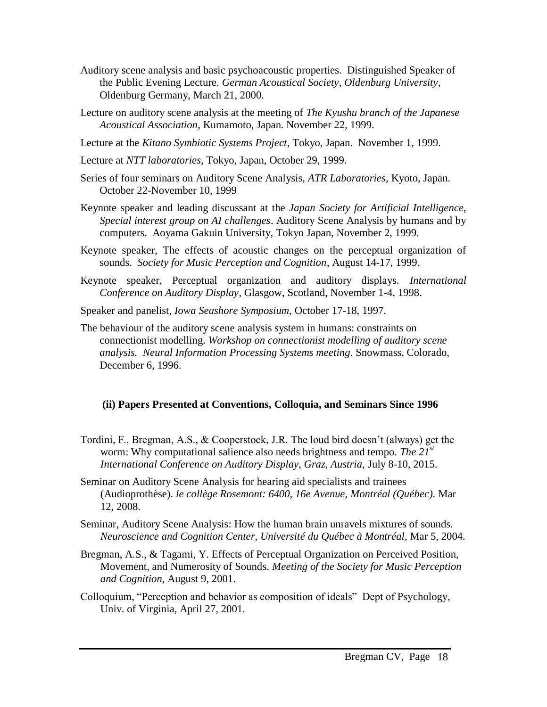- Auditory scene analysis and basic psychoacoustic properties. Distinguished Speaker of the Public Evening Lecture*. German Acoustical Society*, *Oldenburg University,*  Oldenburg Germany, March 21, 2000.
- Lecture on auditory scene analysis at the meeting of *The Kyushu branch of the Japanese Acoustical Association*, Kumamoto, Japan. November 22, 1999.
- Lecture at the *Kitano Symbiotic Systems Project*, Tokyo, Japan. November 1, 1999.
- Lecture at *NTT laboratories*, Tokyo, Japan, October 29, 1999.
- Series of four seminars on Auditory Scene Analysis, *ATR Laboratories*, Kyoto, Japan. October 22-November 10, 1999
- Keynote speaker and leading discussant at the *Japan Society for Artificial Intelligence, Special interest group on AI challenges*. Auditory Scene Analysis by humans and by computers. Aoyama Gakuin University, Tokyo Japan, November 2, 1999.
- Keynote speaker, The effects of acoustic changes on the perceptual organization of sounds. *Society for Music Perception and Cognition*, August 14-17, 1999.
- Keynote speaker, Perceptual organization and auditory displays. *International Conference on Auditory Display*, Glasgow, Scotland, November 1-4, 1998.

Speaker and panelist, *Iowa Seashore Symposium*, October 17-18, 1997.

The behaviour of the auditory scene analysis system in humans: constraints on connectionist modelling. *Workshop on connectionist modelling of auditory scene analysis. Neural Information Processing Systems meeting*. Snowmass, Colorado, December 6, 1996.

## **(ii) Papers Presented at Conventions, Colloquia, and Seminars Since 1996**

- Tordini, F., Bregman, A.S., & Cooperstock, J.R. The loud bird doesn't (always) get the worm: Why computational salience also needs brightness and tempo. *The 21st International Conference on Auditory Display, Graz, Austria,* July 8-10, 2015.
- Seminar on Auditory Scene Analysis for hearing aid specialists and trainees (Audioprothèse). *le collège Rosemont: 6400, 16e Avenue, Montréal (Québec).* Mar 12, 2008.
- Seminar, Auditory Scene Analysis: How the human brain unravels mixtures of sounds. *Neuroscience and Cognition Center, Université du Québec à Montréal*, Mar 5, 2004.
- Bregman, A.S., & Tagami, Y. Effects of Perceptual Organization on Perceived Position, Movement, and Numerosity of Sounds. *Meeting of the Society for Music Perception and Cognition,* August 9, 2001.
- Colloquium, "Perception and behavior as composition of ideals" Dept of Psychology, Univ. of Virginia, April 27, 2001.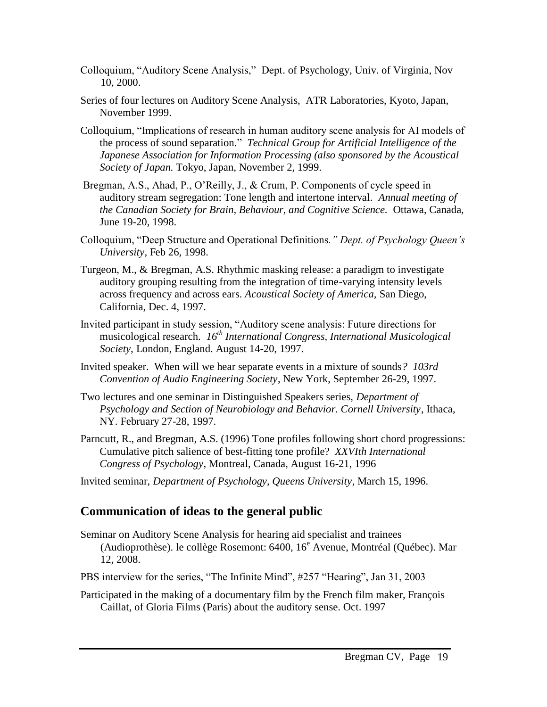- Colloquium, "Auditory Scene Analysis," Dept. of Psychology, Univ. of Virginia, Nov 10, 2000.
- Series of four lectures on Auditory Scene Analysis, ATR Laboratories, Kyoto, Japan, November 1999.
- Colloquium, "Implications of research in human auditory scene analysis for AI models of the process of sound separation." *Technical Group for Artificial Intelligence of the Japanese Association for Information Processing (also sponsored by the Acoustical Society of Japan.* Tokyo, Japan, November 2, 1999.
- Bregman, A.S., Ahad, P., O'Reilly, J., & Crum, P. Components of cycle speed in auditory stream segregation: Tone length and intertone interval*. Annual meeting of the Canadian Society for Brain, Behaviour, and Cognitive Science.* Ottawa, Canada, June 19-20, 1998.
- Colloquium, "Deep Structure and Operational Definitions*." Dept. of Psychology Queen's University*, Feb 26, 1998.
- Turgeon, M., & Bregman, A.S. Rhythmic masking release: a paradigm to investigate auditory grouping resulting from the integration of time-varying intensity levels across frequency and across ears. *Acoustical Society of America,* San Diego, California, Dec. 4, 1997.
- Invited participant in study session, "Auditory scene analysis: Future directions for musicological research. *16th International Congress, International Musicological Society,* London, England. August 14-20, 1997.
- Invited speaker. When will we hear separate events in a mixture of sounds*? 103rd Convention of Audio Engineering Society*, New York, September 26-29, 1997.
- Two lectures and one seminar in Distinguished Speakers series, *Department of Psychology and Section of Neurobiology and Behavior. Cornell University*, Ithaca, NY. February 27-28, 1997.
- Parncutt, R., and Bregman, A.S. (1996) Tone profiles following short chord progressions: Cumulative pitch salience of best-fitting tone profile? *XXVIth International Congress of Psychology*, Montreal, Canada, August 16-21, 1996
- Invited seminar, *Department of Psychology, Queens University*, March 15, 1996.

## **Communication of ideas to the general public**

- Seminar on Auditory Scene Analysis for hearing aid specialist and trainees (Audioprothèse). le collège Rosemont: 6400, 16<sup>e</sup> Avenue, Montréal (Québec)*.* Mar 12, 2008.
- PBS interview for the series, "The Infinite Mind", #257 "Hearing", Jan 31, 2003
- Participated in the making of a documentary film by the French film maker, François Caillat, of Gloria Films (Paris) about the auditory sense. Oct. 1997